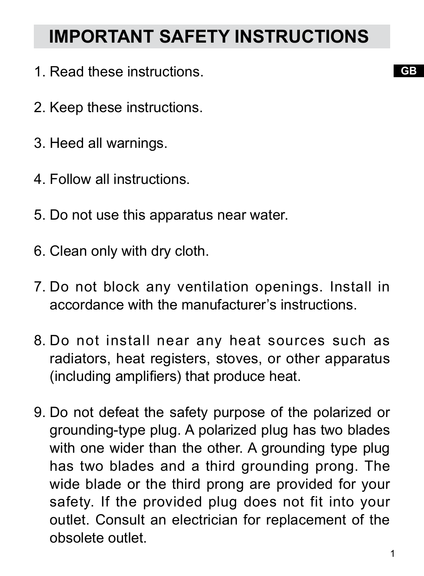# **IMPORTANT SAFETY INSTRUCTIONS**

- 1. Read these instructions.
- 2. Keep these instructions.
- 3. Heed all warnings.
- 4. Follow all instructions.
- 5. Do not use this apparatus near water.
- 6. Clean only with dry cloth.
- 7. Do not block any ventilation openings. Install in accordance with the manufacturer's instructions.
- 8. Do not install near any heat sources such as radiators, heat registers, stoves, or other apparatus (including amplifiers) that produce heat.
- 9. Do not defeat the safety purpose of the polarized or grounding-type plug. A polarized plug has two blades with one wider than the other. A grounding type plug has two blades and a third grounding prong. The wide blade or the third prong are provided for your safety. If the provided plug does not fit into your outlet. Consult an electrician for replacement of the obsolete outlet.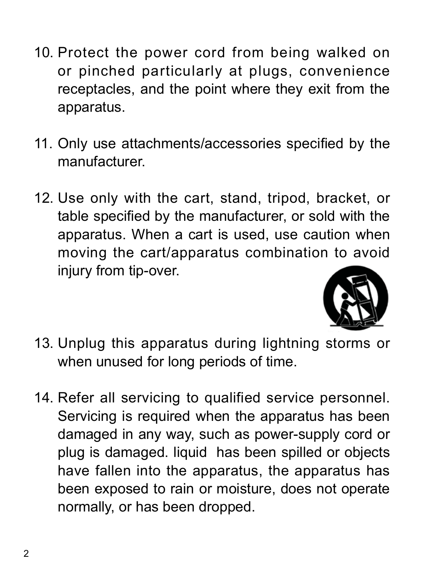- 10. Protect the power cord from being walked on or pinched particularly at plugs, convenience receptacles, and the point where they exit from the apparatus.
- 11. Only use attachments/accessories specified by the manufacturer.
- 12. Use only with the cart, stand, tripod, bracket, or table specified by the manufacturer, or sold with the apparatus. When a cart is used, use caution when moving the cart/apparatus combination to avoid injury from tip-over.



- 13. Unplug this apparatus during lightning storms or when unused for long periods of time.
- 14. Refer all servicing to qualified service personnel. Servicing is required when the apparatus has been damaged in any way, such as power-supply cord or plug is damaged. liquid has been spilled or objects have fallen into the apparatus, the apparatus has been exposed to rain or moisture, does not operate normally, or has been dropped.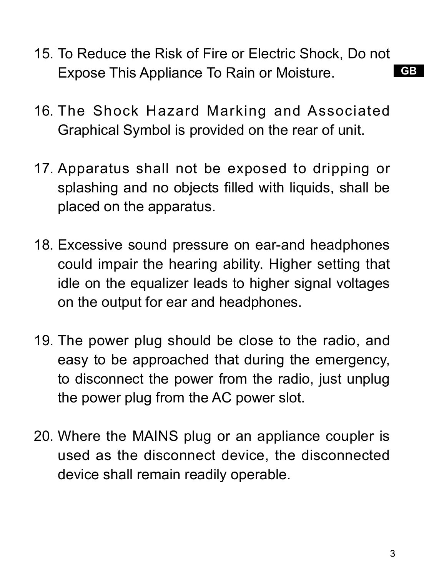- 15. To Reduce the Risk of Fire or Electric Shock, Do not Expose This Appliance To Rain or Moisture.
- 16. The Shock Hazard Marking and Associated Graphical Symbol is provided on the rear of unit.
- 17. Apparatus shall not be exposed to dripping or splashing and no objects filled with liquids, shall be placed on the apparatus.
- 18. Excessive sound pressure on ear-and headphones could impair the hearing ability. Higher setting that idle on the equalizer leads to higher signal voltages on the output for ear and headphones.
- 19. The power plug should be close to the radio, and easy to be approached that during the emergency, to disconnect the power from the radio, just unplug the power plug from the AC power slot.
- 20. Where the MAINS plug or an appliance coupler is used as the disconnect device, the disconnected device shall remain readily operable.

3

**GB**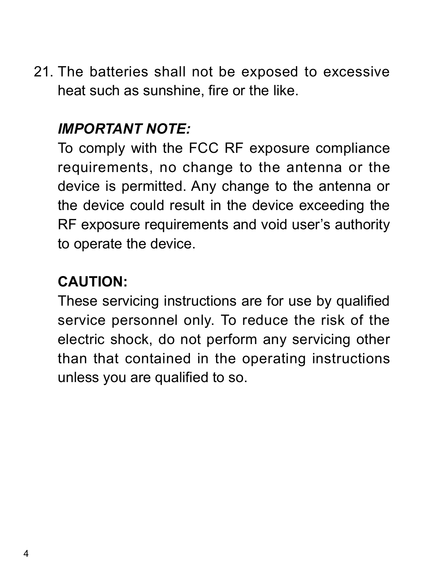21. The batteries shall not be exposed to excessive heat such as sunshine, fire or the like.

### *IMPORTANT NOTE:*

To comply with the FCC RF exposure compliance requirements, no change to the antenna or the device is permitted. Any change to the antenna or the device could result in the device exceeding the RF exposure requirements and void user's authority to operate the device.

### **CAUTION:**

These servicing instructions are for use by qualified service personnel only. To reduce the risk of the electric shock, do not perform any servicing other than that contained in the operating instructions unless you are qualified to so.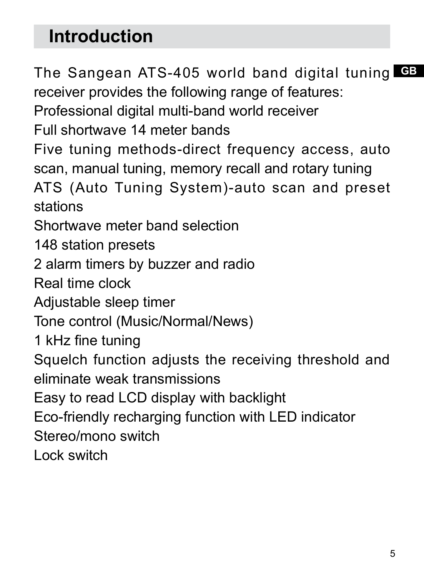# **Introduction**

**GB** The Sangean ATS-405 world band digital tuning receiver provides the following range of features:

Professional digital multi-band world receiver

Full shortwave 14 meter bands

Five tuning methods-direct frequency access, auto scan, manual tuning, memory recall and rotary tuning

ATS (Auto Tuning System)-auto scan and preset stations

Shortwave meter band selection

148 station presets

2 alarm timers by buzzer and radio

Real time clock

Adjustable sleep timer

Tone control (Music/Normal/News)

1 kHz fine tuning

Squelch function adjusts the receiving threshold and eliminate weak transmissions

Easy to read LCD display with backlight

Eco-friendly recharging function with LED indicator

Stereo/mono switch

Lock switch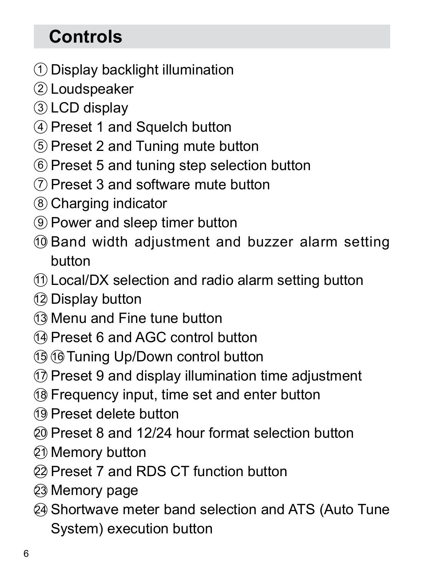# **Controls**

- $\bigcirc$  Display backlight illumination
- 2) Loudspeaker
- LCD display 3
- 4) Preset 1 and Squelch button
- $5)$  Preset 2 and Tuning mute button
- $\scriptstyle\rm \odot$  Preset 5 and tuning step selection button
- $\mathcal{D}% _{k}(G)$  Preset 3 and software mute button
- Charging indicator 8
- 9) Power and sleep timer button
- 10 Band width adjustment and buzzer alarm setting button
- $\mathfrak{\textup{1}}$ ) Local/DX selection and radio alarm setting button
- Display button 12
- Menu and Fine tune button 13
- $\mathbb{Q}$  Preset 6 and AGC control button
- 19 16 Tuning Up/Down control button
- $\mathfrak{D}% _{k}(G)$  Preset 9 and display illumination time adjustment
- $\mathfrak I$ 8 Frequency input, time set and enter button
- Preset delete button 19
- Preset 8 and 12/24 hour format selection button 20
- වා Memory button
- Preset 7 and RDS CT function button 22
- Memory page 23
- 24 Shortwave meter band selection and ATS (Auto Tune System) execution button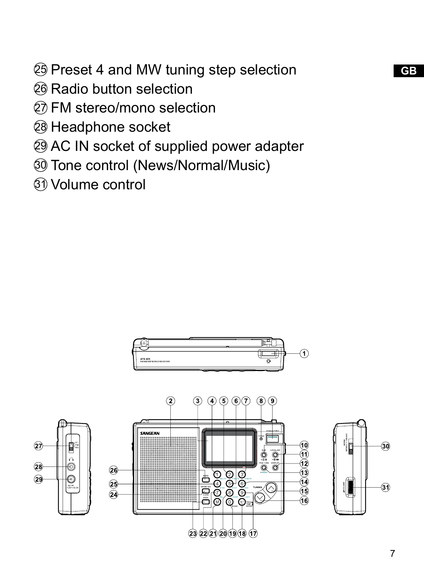**GB** Preset 4 and MW tuning step selection

දිම Radio button selection

ව) FM stereo/mono selection

Headphone socket

AC IN socket of supplied power adapter

Tone control (News/Normal/Music)

Volume control

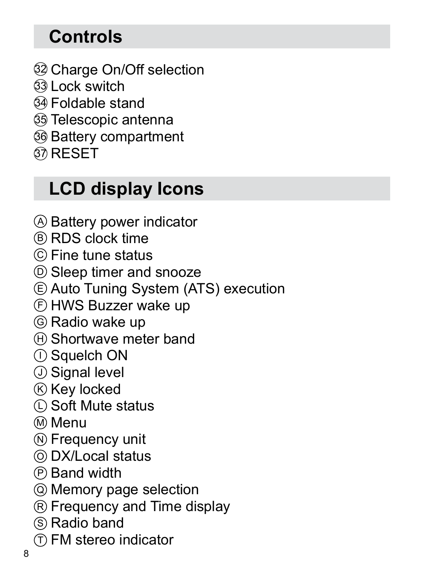# **Controls**

- Charge On/Off selection 32
- Lock switch 33
- Foldable stand 34
- Telescopic antenna 35
- Battery compartment 36
- $\mathfrak{D}% _{T}=\mathfrak{D}_{T}\!\left( a,b\right) ,\ \mathfrak{D}_{T}=\mathfrak{D}_{T}\!\left( a,b\right) ,$

# **LCD display Icons**

- <sup>A</sup> Battery power indicator
- B RDS clock time
- C Fine tune status
- D Sleep timer and snooze
- E Auto Tuning System (ATS) execution
- F HWS Buzzer wake up
- G Radio wake up
- $\boxplus$  Shortwave meter band
- $\mathbb D$  Squelch ON  $\;$
- J Signal level
- $\boxtimes$  Key locked
- $\mathbb D$  Soft Mute status
- M Menu
- $\mathbb D$  Frequency unit
- DX/Local status O
- $\mathop{\mathbb{P}}$  Band width
- Memory page selection Q
- $\mathop{\mathbb{R}}$  Frequency and Time display
- $\mathbb S$  Radio band
- <sup>T</sup> FM stereo indicator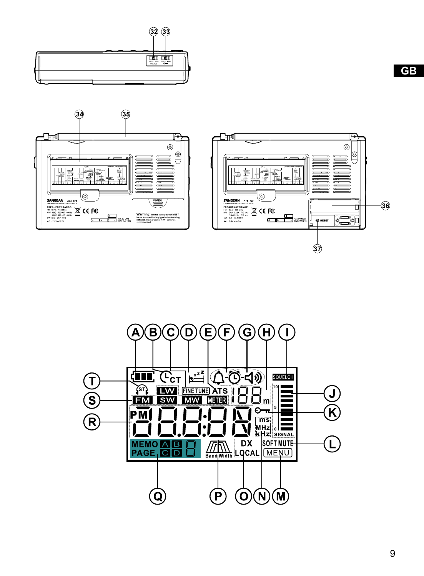



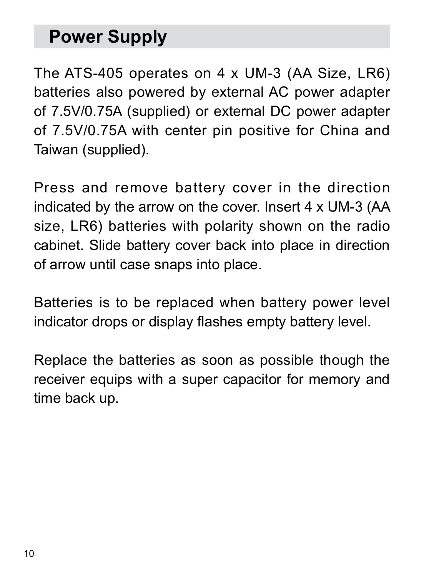# **Power Supply**

The ATS-405 operates on 4 x UM-3 (AA Size, LR6) batteries also powered by external AC power adapter of 7.5V/0.75A (supplied) or external DC power adapter of 7.5V/0.75A with center pin positive for China and Taiwan (supplied).

Press and remove battery cover in the direction indicated by the arrow on the cover. Insert 4 x UM-3 (AA size, LR6) batteries with polarity shown on the radio cabinet. Slide battery cover back into place in direction of arrow until case snaps into place.

Batteries is to be replaced when battery power level indicator drops or display flashes empty battery level.

Replace the batteries as soon as possible though the receiver equips with a super capacitor for memory and time back up.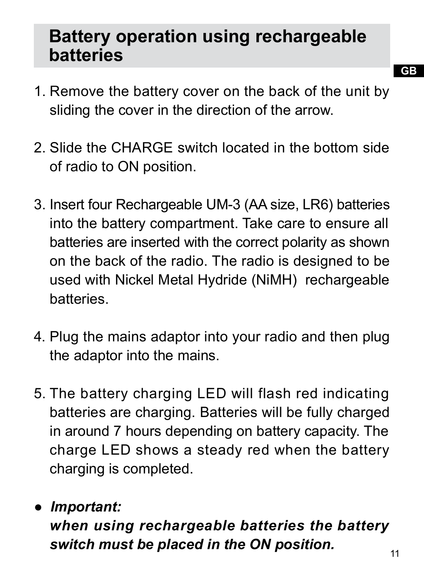## **Battery operation using rechargeable batteries**

- 1. Remove the battery cover on the back of the unit by sliding the cover in the direction of the arrow.
- 2. Slide the CHARGE switch located in the bottom side of radio to ON position.
- 3. Insert four Rechargeable UM-3 (AA size, LR6) batteries into the battery compartment. Take care to ensure all batteries are inserted with the correct polarity as shown on the back of the radio. The radio is designed to be used with Nickel Metal Hydride (NiMH) rechargeable batteries.
- 4. Plug the mains adaptor into your radio and then plug the adaptor into the mains.
- 5. The battery charging LED will flash red indicating batteries are charging. Batteries will be fully charged in around 7 hours depending on battery capacity. The charge LED shows a steady red when the battery charging is completed.

#### 11 *● Important: when using rechargeable batteries the battery switch must be placed in the ON position.*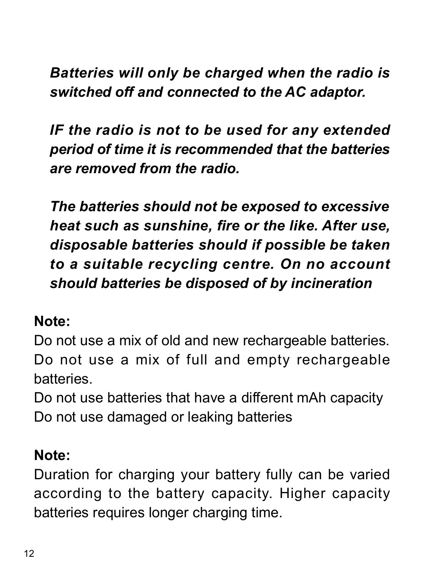### *Batteries will only be charged when the radio is switched off and connected to the AC adaptor.*

 *IF the radio is not to be used for any extended period of time it is recommended that the batteries are removed from the radio.*

 *The batteries should not be exposed to excessive heat such as sunshine, fire or the like. After use, disposable batteries should if possible be taken to a suitable recycling centre. On no account should batteries be disposed of by incineration*

#### **Note:**

Do not use a mix of old and new rechargeable batteries. Do not use a mix of full and empty rechargeable batteries.

Do not use batteries that have a different mAh capacity Do not use damaged or leaking batteries

#### **Note:**

Duration for charging your battery fully can be varied according to the battery capacity. Higher capacity batteries requires longer charging time.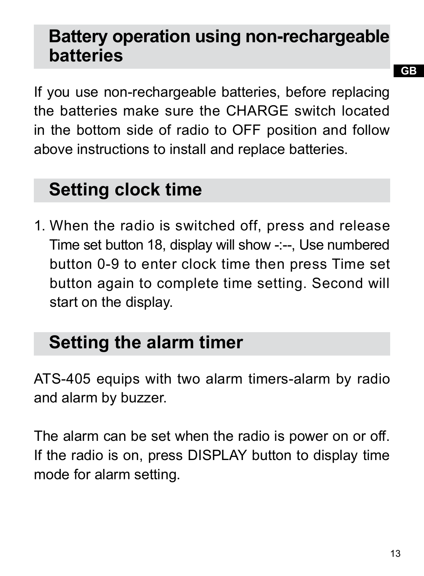## **Battery operation using non-rechargeable batteries**

If you use non-rechargeable batteries, before replacing the batteries make sure the CHARGE switch located in the bottom side of radio to OFF position and follow above instructions to install and replace batteries.

# **Setting clock time**

1. When the radio is switched off, press and release Time set button 18, display will show -:--, Use numbered button 0-9 to enter clock time then press Time set button again to complete time setting. Second will start on the display.

# **Setting the alarm timer**

ATS-405 equips with two alarm timers-alarm by radio and alarm by buzzer.

The alarm can be set when the radio is power on or off. If the radio is on, press DISPLAY button to display time mode for alarm setting.

13

**GB**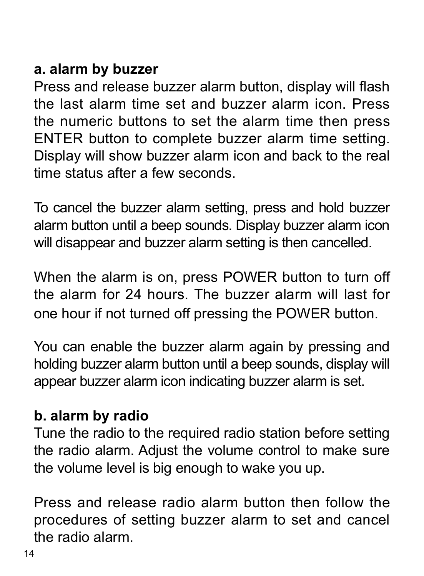#### **a. alarm by buzzer**

Press and release buzzer alarm button, display will flash the last alarm time set and buzzer alarm icon. Press the numeric buttons to set the alarm time then press ENTER button to complete buzzer alarm time setting. Display will show buzzer alarm icon and back to the real time status after a few seconds.

To cancel the buzzer alarm setting, press and hold buzzer alarm button until a beep sounds. Display buzzer alarm icon will disappear and buzzer alarm setting is then cancelled.

When the alarm is on, press POWER button to turn off the alarm for 24 hours. The buzzer alarm will last for one hour if not turned off pressing the POWER button.

You can enable the buzzer alarm again by pressing and holding buzzer alarm button until a beep sounds, display will appear buzzer alarm icon indicating buzzer alarm is set.

#### **b. alarm by radio**

Tune the radio to the required radio station before setting the radio alarm. Adjust the volume control to make sure the volume level is big enough to wake you up.

Press and release radio alarm button then follow the procedures of setting buzzer alarm to set and cancel the radio alarm.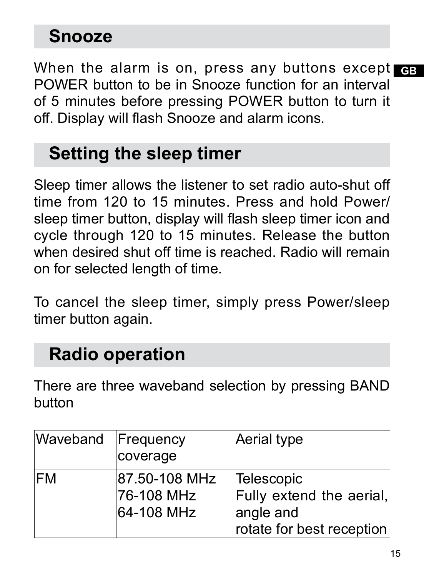## **Snooze**

When the alarm is on, press any buttons except <sub>GB</sub> POWER button to be in Snooze function for an interval of 5 minutes before pressing POWER button to turn it off. Display will flash Snooze and alarm icons.

## **Setting the sleep timer**

Sleep timer allows the listener to set radio auto-shut off time from 120 to 15 minutes. Press and hold Power/ sleep timer button, display will flash sleep timer icon and cycle through 120 to 15 minutes. Release the button when desired shut off time is reached. Radio will remain on for selected length of time.

To cancel the sleep timer, simply press Power/sleep timer button again.

## **Radio operation**

There are three waveband selection by pressing BAND button

| Waveband Frequency | coverage                                  | Aerial type                                                                      |
|--------------------|-------------------------------------------|----------------------------------------------------------------------------------|
| <b>IFM</b>         | 87.50-108 MHz<br>76-108 MHz<br>64-108 MHz | Telescopic<br>Fully extend the aerial,<br>angle and<br>rotate for best reception |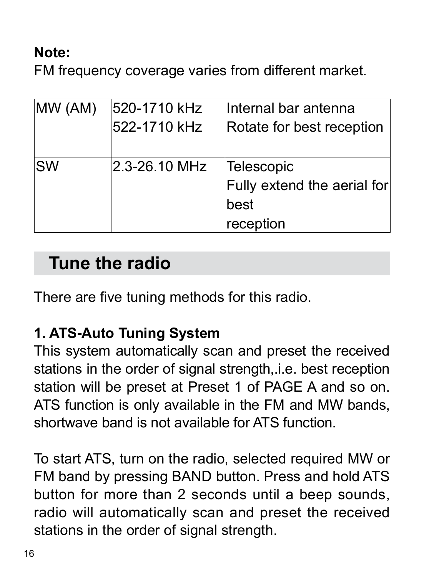### **Note:**

FM frequency coverage varies from different market.

| MW (AM)   | 520-1710 kHz  | Internal bar antenna        |
|-----------|---------------|-----------------------------|
|           | 522-1710 kHz  | Rotate for best reception   |
|           |               |                             |
| <b>SW</b> | 2.3-26.10 MHz | Telescopic                  |
|           |               | Fully extend the aerial for |
|           |               | best                        |
|           |               | reception                   |

## **Tune the radio**

There are five tuning methods for this radio.

### **1. ATS-Auto Tuning System**

This system automatically scan and preset the received stations in the order of signal strength,.i.e. best reception station will be preset at Preset 1 of PAGE A and so on. ATS function is only available in the FM and MW bands, shortwave band is not available for ATS function.

To start ATS, turn on the radio, selected required MW or FM band by pressing BAND button. Press and hold ATS button for more than 2 seconds until a beep sounds, radio will automatically scan and preset the received stations in the order of signal strength.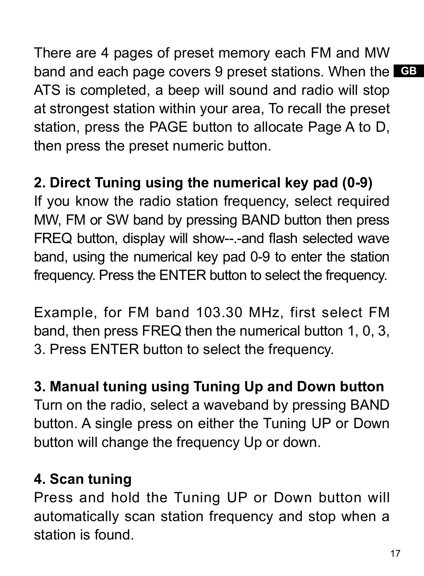band and each page covers 9 preset stations. When the GB There are 4 pages of preset memory each FM and MW ATS is completed, a beep will sound and radio will stop at strongest station within your area, To recall the preset station, press the PAGE button to allocate Page A to D, then press the preset numeric button.

## **2. Direct Tuning using the numerical key pad (0-9)**

If you know the radio station frequency, select required MW, FM or SW band by pressing BAND button then press FREQ button, display will show--.-and flash selected wave band, using the numerical key pad 0-9 to enter the station frequency. Press the ENTER button to select the frequency.

Example, for FM band 103.30 MHz, first select FM band, then press FREQ then the numerical button 1, 0, 3, 3. Press ENTER button to select the frequency.

#### **3. Manual tuning using Tuning Up and Down button**

Turn on the radio, select a waveband by pressing BAND button. A single press on either the Tuning UP or Down button will change the frequency Up or down.

#### **4. Scan tuning**

Press and hold the Tuning UP or Down button will automatically scan station frequency and stop when a station is found.

17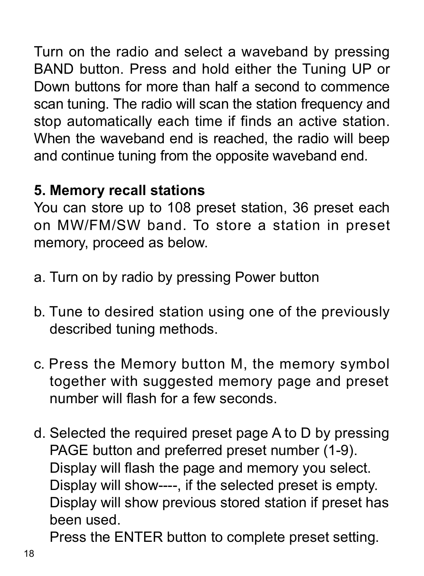Turn on the radio and select a waveband by pressing BAND button. Press and hold either the Tuning UP or Down buttons for more than half a second to commence scan tuning. The radio will scan the station frequency and stop automatically each time if finds an active station. When the waveband end is reached, the radio will beep and continue tuning from the opposite waveband end.

### **5. Memory recall stations**

You can store up to 108 preset station, 36 preset each on MW/FM/SW band. To store a station in preset memory, proceed as below.

- a. Turn on by radio by pressing Power button
- b. Tune to desired station using one of the previously described tuning methods.
- c. Press the Memory button M, the memory symbol together with suggested memory page and preset number will flash for a few seconds.
- d. Selected the required preset page A to D by pressing PAGE button and preferred preset number (1-9). Display will flash the page and memory you select. Display will show----, if the selected preset is empty. Display will show previous stored station if preset has been used.

Press the ENTER button to complete preset setting.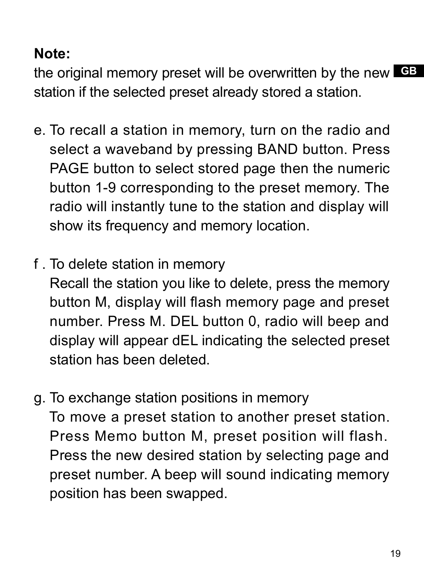### **Note:**

**GB** the original memory preset will be overwritten by the new station if the selected preset already stored a station.

- e. To recall a station in memory, turn on the radio and select a waveband by pressing BAND button. Press PAGE button to select stored page then the numeric button 1-9 corresponding to the preset memory. The radio will instantly tune to the station and display will show its frequency and memory location.
- f . To delete station in memory

 Recall the station you like to delete, press the memory button M, display will flash memory page and preset number. Press M. DEL button 0, radio will beep and display will appear dEL indicating the selected preset station has been deleted.

g. To exchange station positions in memory To move a preset station to another preset station. Press Memo button M, preset position will flash. Press the new desired station by selecting page and preset number. A beep will sound indicating memory position has been swapped.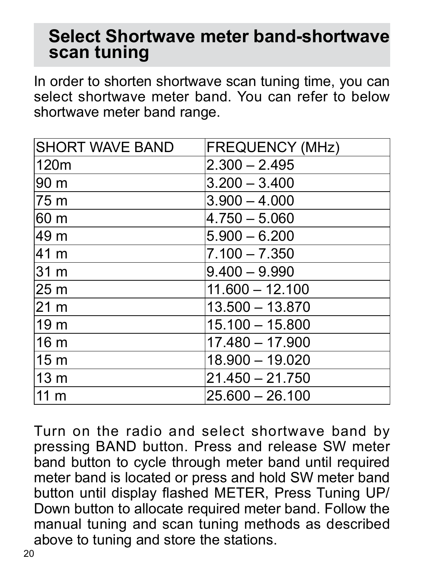## **Select Shortwave meter band-shortwave scan tuning**

In order to shorten shortwave scan tuning time, you can select shortwave meter band. You can refer to below shortwave meter band range.

| <b>SHORT WAVE BAND</b> | <b>FREQUENCY (MHz)</b> |
|------------------------|------------------------|
| 120m                   | $2.300 - 2.495$        |
| 90 m                   | $3.200 - 3.400$        |
| 75 m                   | $3.900 - 4.000$        |
| 60 m                   | $4.750 - 5.060$        |
| 49 m                   | $5.900 - 6.200$        |
| 41 m                   | $7.100 - 7.350$        |
| 31 m                   | $9.400 - 9.990$        |
| 25 <sub>m</sub>        | $11.600 - 12.100$      |
| 21 <sub>m</sub>        | 13.500 - 13.870        |
| 19 <sub>m</sub>        | $15.100 - 15.800$      |
| 16 <sub>m</sub>        | $17.480 - 17.900$      |
| 15 <sub>m</sub>        | 18.900 - 19.020        |
| 13 <sub>m</sub>        | $21.450 - 21.750$      |
| 11 <sub>m</sub>        | $25.600 - 26.100$      |

Turn on the radio and select shortwave band by pressing BAND button. Press and release SW meter band button to cycle through meter band until required meter band is located or press and hold SW meter band button until display flashed METER, Press Tuning UP/ Down button to allocate required meter band. Follow the manual tuning and scan tuning methods as described above to tuning and store the stations.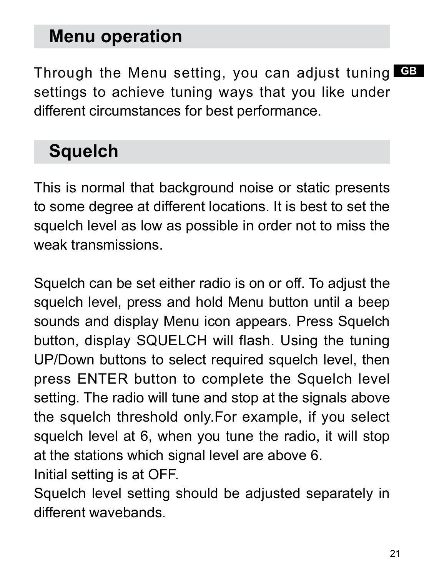## **Menu operation**

**GB** Through the Menu setting, you can adjust tuning settings to achieve tuning ways that you like under different circumstances for best performance.

## **Squelch**

This is normal that background noise or static presents to some degree at different locations. It is best to set the squelch level as low as possible in order not to miss the weak transmissions.

Squelch can be set either radio is on or off. To adjust the squelch level, press and hold Menu button until a beep sounds and display Menu icon appears. Press Squelch button, display SQUELCH will flash. Using the tuning UP/Down buttons to select required squelch level, then press ENTER button to complete the Squelch level setting. The radio will tune and stop at the signals above the squelch threshold only.For example, if you select squelch level at 6, when you tune the radio, it will stop at the stations which signal level are above 6. Initial setting is at OFF.

Squelch level setting should be adjusted separately in different wavebands.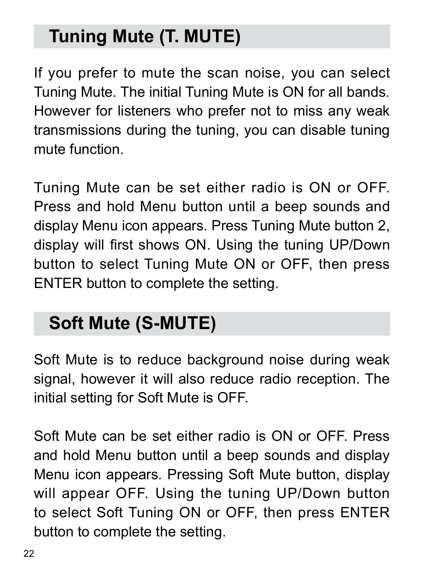# **Tuning Mute (T. MUTE)**

If you prefer to mute the scan noise, you can select Tuning Mute. The initial Tuning Mute is ON for all bands. However for listeners who prefer not to miss any weak transmissions during the tuning, you can disable tuning mute function.

Tuning Mute can be set either radio is ON or OFF. Press and hold Menu button until a beep sounds and display Menu icon appears. Press Tuning Mute button 2, display will first shows ON. Using the tuning UP/Down button to select Tuning Mute ON or OFF, then press ENTER button to complete the setting.

# **Soft Mute (S-MUTE)**

Soft Mute is to reduce background noise during weak signal, however it will also reduce radio reception. The initial setting for Soft Mute is OFF.

Soft Mute can be set either radio is ON or OFF. Press and hold Menu button until a beep sounds and display Menu icon appears. Pressing Soft Mute button, display will appear OFF. Using the tuning UP/Down button to select Soft Tuning ON or OFF, then press ENTER button to complete the setting.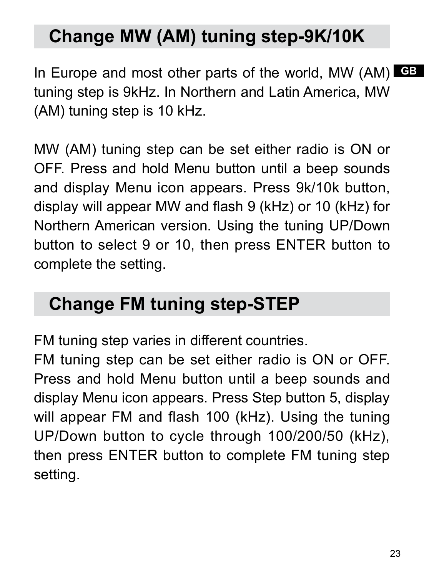# **Change MW (AM) tuning step-9K/10K**

In Europe and most other parts of the world, MW (AM) **GE** tuning step is 9kHz. In Northern and Latin America, MW (AM) tuning step is 10 kHz.

MW (AM) tuning step can be set either radio is ON or OFF. Press and hold Menu button until a beep sounds and display Menu icon appears. Press 9k/10k button, display will appear MW and flash 9 (kHz) or 10 (kHz) for Northern American version. Using the tuning UP/Down button to select 9 or 10, then press ENTER button to complete the setting.

## **Change FM tuning step-STEP**

FM tuning step varies in different countries.

FM tuning step can be set either radio is ON or OFF. Press and hold Menu button until a beep sounds and display Menu icon appears. Press Step button 5, display will appear FM and flash 100 (kHz). Using the tuning UP/Down button to cycle through 100/200/50 (kHz), then press ENTER button to complete FM tuning step setting.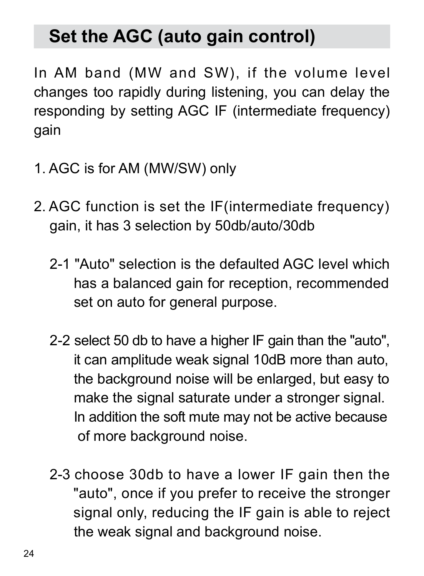# **Set the AGC (auto gain control)**

In AM band (MW and SW), if the volume level changes too rapidly during listening, you can delay the responding by setting AGC IF (intermediate frequency) gain

- 1. AGC is for AM (MW/SW) only
- 2. AGC function is set the IF(intermediate frequency) gain, it has 3 selection by 50db/auto/30db
	- 2-1 "Auto" selection is the defaulted AGC level which has a balanced gain for reception, recommended set on auto for general purpose.
	- 2-2 select 50 db to have a higher IF gain than the "auto", it can amplitude weak signal 10dB more than auto, the background noise will be enlarged, but easy to make the signal saturate under a stronger signal. In addition the soft mute may not be active because of more background noise.
	- 2-3 choose 30db to have a lower IF gain then the "auto", once if you prefer to receive the stronger signal only, reducing the IF gain is able to reject the weak signal and background noise.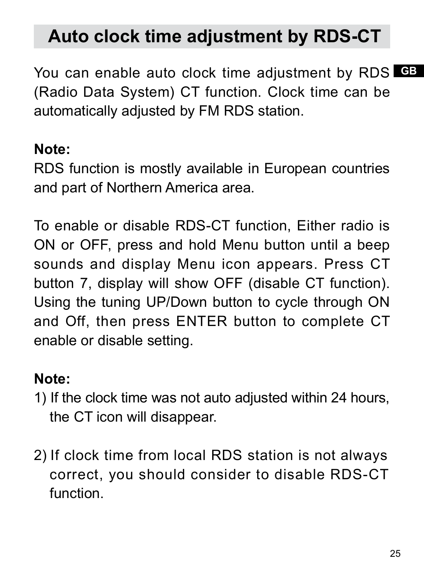# **Auto clock time adjustment by RDS-CT**

You can enable auto clock time adjustment by RDS **G**B (Radio Data System) CT function. Clock time can be automatically adjusted by FM RDS station.

#### **Note:**

RDS function is mostly available in European countries and part of Northern America area.

To enable or disable RDS-CT function, Either radio is ON or OFF, press and hold Menu button until a beep sounds and display Menu icon appears. Press CT button 7, display will show OFF (disable CT function). Using the tuning UP/Down button to cycle through ON and Off, then press ENTER button to complete CT enable or disable setting.

### **Note:**

- 1) If the clock time was not auto adjusted within 24 hours, the CT icon will disappear.
- 2) If clock time from local RDS station is not always correct, you should consider to disable RDS-CT function.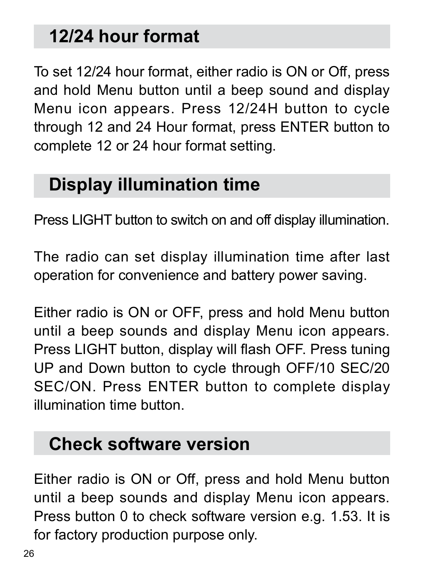# **12/24 hour format**

To set 12/24 hour format, either radio is ON or Off, press and hold Menu button until a beep sound and display Menu icon appears. Press 12/24H button to cycle through 12 and 24 Hour format, press ENTER button to complete 12 or 24 hour format setting.

## **Display illumination time**

Press LIGHT button to switch on and off display illumination.

The radio can set display illumination time after last operation for convenience and battery power saving.

Either radio is ON or OFF, press and hold Menu button until a beep sounds and display Menu icon appears. Press LIGHT button, display will flash OFF. Press tuning UP and Down button to cycle through OFF/10 SEC/20 SEC/ON. Press ENTER button to complete display illumination time button.

## **Check software version**

Either radio is ON or Off, press and hold Menu button until a beep sounds and display Menu icon appears. Press button 0 to check software version e.g. 1.53. It is for factory production purpose only.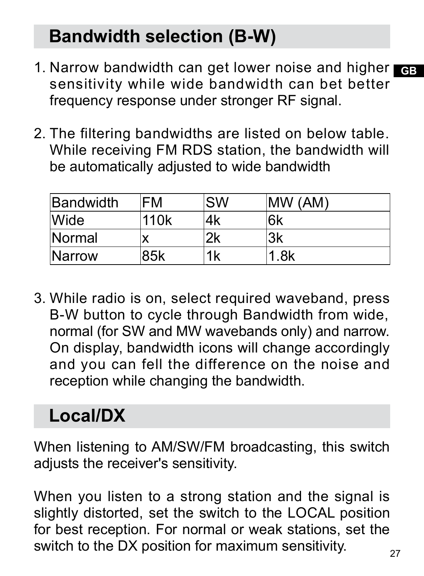# **Bandwidth selection (B-W)**

- 1. Narrow bandwidth can get lower noise and higher GB sensitivity while wide bandwidth can bet better frequency response under stronger RF signal.
- 2. The filtering bandwidths are listed on below table. While receiving FM RDS station, the bandwidth will be automatically adjusted to wide bandwidth

| <b>Bandwidth</b> | FM               | <b>SW</b> | <b>IMW (AM)</b> |
|------------------|------------------|-----------|-----------------|
| Wide             | 110 <sub>k</sub> | 4k        | l6k             |
| Normal           |                  | 2k        | 3k              |
| <b>Narrow</b>    | 85k              | 1k        | 1.8k            |

3. While radio is on, select required waveband, press B-W button to cycle through Bandwidth from wide, normal (for SW and MW wavebands only) and narrow. On display, bandwidth icons will change accordingly and you can fell the difference on the noise and reception while changing the bandwidth.

# **Local/DX**

When listening to AM/SW/FM broadcasting, this switch adjusts the receiver's sensitivity.

When you listen to a strong station and the signal is slightly distorted, set the switch to the LOCAL position for best reception. For normal or weak stations, set the switch to the DX position for maximum sensitivity.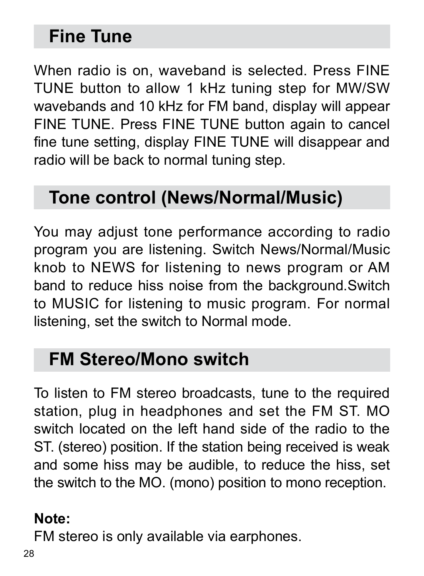# **Fine Tune**

When radio is on, waveband is selected. Press FINE TUNE button to allow 1 kHz tuning step for MW/SW wavebands and 10 kHz for FM band, display will appear FINE TUNE. Press FINE TUNE button again to cancel fine tune setting, display FINE TUNE will disappear and radio will be back to normal tuning step.

## **Tone control (News/Normal/Music)**

You may adjust tone performance according to radio program you are listening. Switch News/Normal/Music knob to NEWS for listening to news program or AM band to reduce hiss noise from the background.Switch to MUSIC for listening to music program. For normal listening, set the switch to Normal mode.

## **FM Stereo/Mono switch**

To listen to FM stereo broadcasts, tune to the required station, plug in headphones and set the FM ST. MO switch located on the left hand side of the radio to the ST. (stereo) position. If the station being received is weak and some hiss may be audible, to reduce the hiss, set the switch to the MO. (mono) position to mono reception.

#### **Note:**

FM stereo is only available via earphones.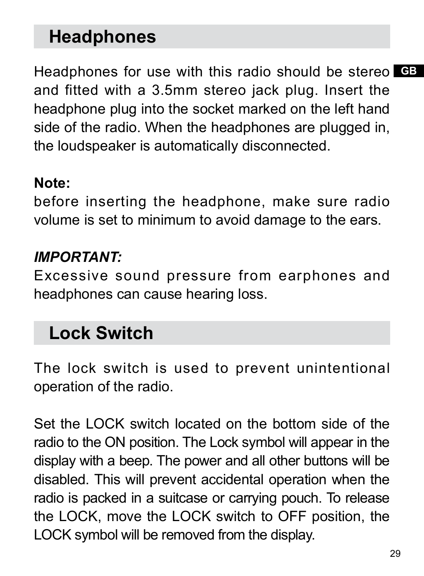## **Headphones**

Headphones for use with this radio should be stereo GB and fitted with a 3.5mm stereo jack plug. Insert the headphone plug into the socket marked on the left hand side of the radio. When the headphones are plugged in, the loudspeaker is automatically disconnected.

#### **Note:**

before inserting the headphone, make sure radio volume is set to minimum to avoid damage to the ears.

### *IMPORTANT:*

Excessive sound pressure from earphones and headphones can cause hearing loss.

## **Lock Switch**

The lock switch is used to prevent unintentional operation of the radio.

Set the LOCK switch located on the bottom side of the radio to the ON position. The Lock symbol will appear in the display with a beep. The power and all other buttons will be disabled. This will prevent accidental operation when the radio is packed in a suitcase or carrying pouch. To release the LOCK, move the LOCK switch to OFF position, the LOCK symbol will be removed from the display.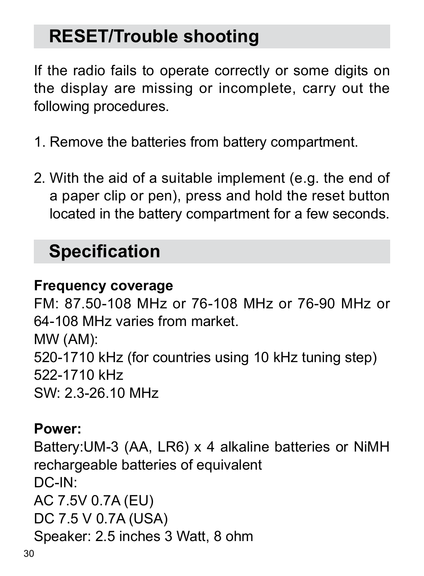# **RESET/Trouble shooting**

If the radio fails to operate correctly or some digits on the display are missing or incomplete, carry out the following procedures.

- 1. Remove the batteries from battery compartment.
- 2. With the aid of a suitable implement (e.g. the end of a paper clip or pen), press and hold the reset button located in the battery compartment for a few seconds.

# **Specification**

### **Frequency coverage**

FM: 87.50-108 MHz or 76-108 MHz or 76-90 MHz or 64-108 MHz varies from market. MW (AM): 520-1710 kHz (for countries using 10 kHz tuning step) 522-1710 kHz SW: 2.3-26.10 MHz

#### **Power:**

Battery:UM-3 (AA, LR6) x 4 alkaline batteries or NiMH rechargeable batteries of equivalent DC-IN: AC 7.5V 0.7A (EU) DC 7.5 V 0.7A (USA) Speaker: 2.5 inches 3 Watt, 8 ohm